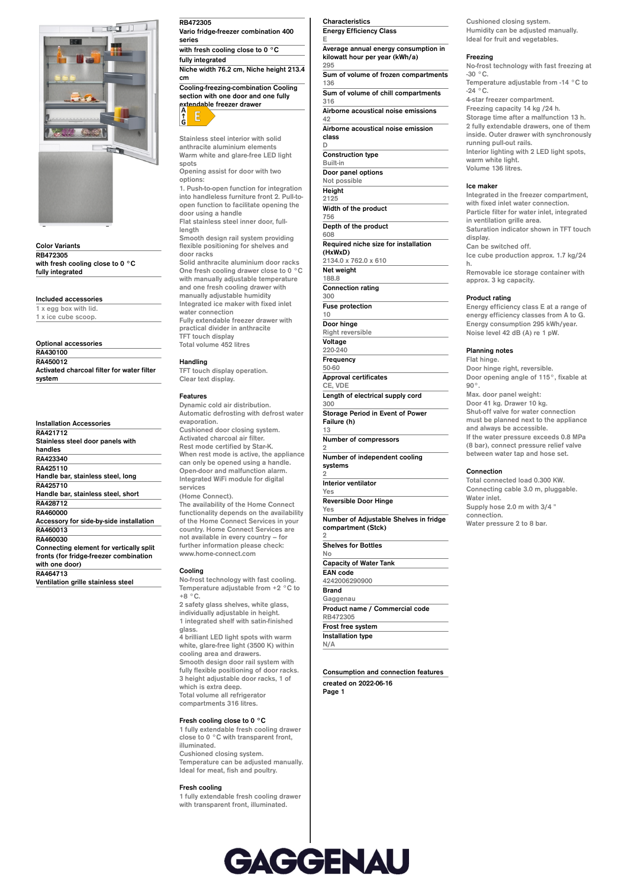

**Color Variants RB472305 with fresh cooling close to 0 °C fully integrated**

## **Included accessories**

**1 x egg box with lid. 1 x ice cube scoop.**

**Optional accessories RA430100 RA450012 Activated charcoal filter for water filter system**

**Installation Accessories RA421712 Stainless steel door panels with handles RA423340 RA425110 Handle bar, stainless steel, long RA425710 Handle bar, stainless steel, short RA428712 RA460000 Accessory for side-by-side installation RA460013 RA460030 Connecting element for vertically split fronts (for fridge-freezer combination with one door) RA464713 Ventilation grille stainless steel**

**RB472305 Vario fridge-freezer combination 400 series**

**with fresh cooling close to 0 °C fully integrated Niche width 76.2 cm, Niche height 213.4**

**cm Cooling-freezing-combination Cooling section with one door and one fully extendable freezer drawer**<br>A



**Stainless steel interior with solid anthracite aluminium elements Warm white and glare-free LED light spots**

**Opening assist for door with two options:**

**1. Push-to-open function for integration into handleless furniture front 2. Pull-toopen function to facilitate opening the door using a handle Flat stainless steel inner door, full-**

**length Smooth design rail system providing flexible positioning for shelves and door racks**

**Solid anthracite aluminium door racks One fresh cooling drawer close to 0 °C with manually adjustable temperature and one fresh cooling drawer with manually adjustable humidity Integrated ice maker with fixed inlet water connection Fully extendable freezer drawer with practical divider in anthracite TFT touch display Total volume 452 litres**

# **Handling**

**TFT touch display operation. Clear text display.**

# **Features**

**Dynamic cold air distribution. Automatic defrosting with defrost water evaporation. Cushioned door closing system. Activated charcoal air filter. Rest mode certified by Star-K. When rest mode is active, the appliance can only be opened using a handle. Open-door and malfunction alarm. Integrated WiFi module for digital services (Home Connect).**

**The availability of the Home Connect functionality depends on the availability of the Home Connect Services in your country. Home Connect Services are not available in every country – for further information please check: www.home-connect.com**

#### **Cooling**

**No-frost technology with fast cooling. Temperature adjustable from +2 °C to +8 °C.**

**2 safety glass shelves, white glass, individually adjustable in height. 1 integrated shelf with satin-finished glass.**

**4 brilliant LED light spots with warm white, glare-free light (3500 K) within cooling area and drawers. Smooth design door rail system with fully flexible positioning of door racks. 3 height adjustable door racks, 1 of which is extra deep. Total volume all refrigerator**

**compartments 316 litres.**

# **Fresh cooling close to 0 °C**

**1 fully extendable fresh cooling drawer close to 0 °C with transparent front, illuminated. Cushioned closing system. Temperature can be adjusted manually. Ideal for meat, fish and poultry.**

### **Fresh cooling**

**1 fully extendable fresh cooling drawer with transparent front, illuminated.**

**Characteristics Energy Efficiency Class**

**E Average annual energy consumption in kilowatt hour per year (kWh/a) 295 Sum of volume of frozen compartments**

**136 Sum of volume of chill compartments 316 Airborne acoustical noise emissions 42**

**Airborne acoustical noise emission class**

**D Construction type Built-in Door panel options**

**Not possible**

**Height 2125 Width of the product 756 Depth of the product**

**608 Required niche size for installation (HxWxD)**

**2134.0 x 762.0 x 610 Net weight**

**188.8 Connection rating**

**300 Fuse protection 10**

**Door hinge Right reversible Voltage 220-240 Frequency 50-60 Approval certificates CE, VDE Length of electrical supply cord 300 Storage Period in Event of Power Failure (h)**

**13 Number of compressors 2**

**Number of independent cooling systems**

# **Interior ventilator**

**2**

**2**

**Yes Reversible Door Hinge**

**Yes**

**Number of Adjustable Shelves in fridge compartment (Stck)**

### **Shelves for Bottles**

| N٥                             |  |
|--------------------------------|--|
| <b>Capacity of Water Tank</b>  |  |
| <b>EAN</b> code                |  |
| 4242006290900                  |  |
| Brand                          |  |
| Gaggenau                       |  |
| Product name / Commercial code |  |
| RB472305                       |  |
| <b>Frost free system</b>       |  |
| Installation type              |  |
| N/A                            |  |

**Consumption and connection features created on 2022-06-16**

**Page 1**

**Cushioned closing system. Humidity can be adjusted manually. Ideal for fruit and vegetables.**

#### **Freezing**

**No-frost technology with fast freezing at -30 °C. Temperature adjustable from -14 °C to -24 °C. 4-star freezer compartment. Freezing capacity 14 kg /24 h. Storage time after a malfunction 13 h. 2 fully extendable drawers, one of them inside. Outer drawer with synchronously running pull-out rails. Interior lighting with 2 LED light spots, warm white light. Volume 136 litres.**

# **Ice maker**

**Integrated in the freezer compartment, with fixed inlet water connection. Particle filter for water inlet, integrated in ventilation grille area. Saturation indicator shown in TFT touch display. Can be switched off. Ice cube production approx. 1.7 kg/24 h. Removable ice storage container with approx. 3 kg capacity.**

# **Product rating**

**Energy efficiency class E at a range of energy efficiency classes from A to G. Energy consumption 295 kWh/year. Noise level 42 dB (A) re 1 pW.**

#### **Planning notes Flat hinge.**

**Door hinge right, reversible. Door opening angle of 115°, fixable at 90°. Max. door panel weight: Door 41 kg. Drawer 10 kg. Shut-off valve for water connection must be planned next to the appliance and always be accessible. If the water pressure exceeds 0.8 MPa (8 bar), connect pressure relief valve between water tap and hose set.**

#### **Connection**

**Total connected load 0.300 KW. Connecting cable 3.0 m, pluggable. Water inlet. Supply hose 2.0 m with 3/4 " connection. Water pressure 2 to 8 bar.**